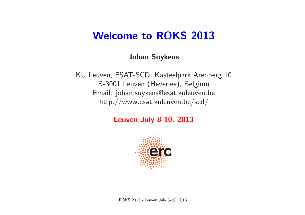### Welcome to ROKS 2013

#### Johan Suykens

KU Leuven, ESAT-SCD, Kasteelpark Arenberg 10 B-3001 Leuven (Heverlee), Belgium Email: johan.suykens@esat.kuleuven.be http://www.esat.kuleuven.be/scd/

Leuven July 8-10, 2013

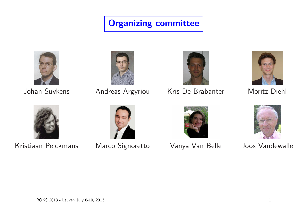### Organizing committee







Johan Suykens Andreas Argyriou Kris De Brabanter Moritz Diehl





Kristiaan Pelckmans Marco Signoretto Vanya Van Belle Joos Vandewalle





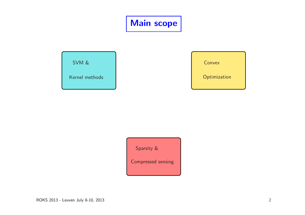## Main scope

SVM &

Kernel methods

Convex

**Optimization** 

Sparsity & Compressed sensing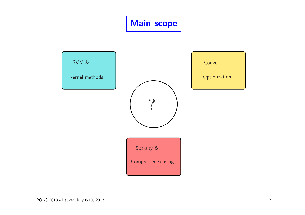# Main scope

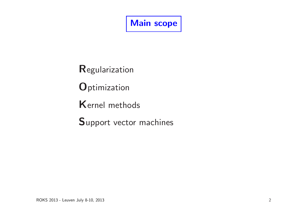Main scope

**Regularization** 

**O**ptimization

Kernel methods

Support vector machines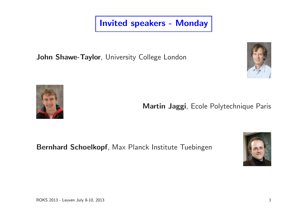Invited speakers - Monday

John Shawe-Taylor, University College London





Martin Jaggi, Ecole Polytechnique Paris

Bernhard Schoelkopf, Max Planck Institute Tuebingen

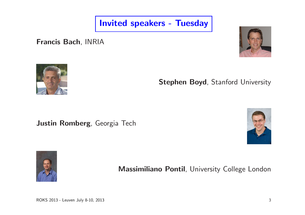Invited speakers - Tuesday

Francis Bach, INRIA





Stephen Boyd, Stanford University

Justin Romberg, Georgia Tech





Massimiliano Pontil, University College London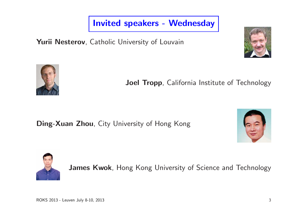Invited speakers - Wednesday

Yurii Nesterov, Catholic University of Louvain





Joel Tropp, California Institute of Technology

Ding-Xuan Zhou, City University of Hong Kong





James Kwok, Hong Kong University of Science and Technology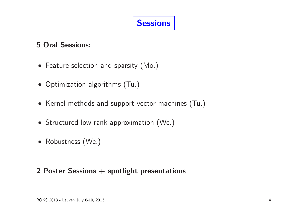### 5 Oral Sessions:

- Feature selection and sparsity (Mo.)
- Optimization algorithms (Tu.)
- Kernel methods and support vector machines (Tu.)
- Structured low-rank approximation (We.)
- Robustness (We.)

#### 2 Poster Sessions + spotlight presentations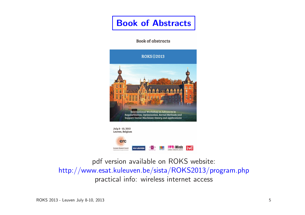### Book of Abstracts

**Book of abstracts** 





pdf version available on ROKS website: http://www.esat.kuleuven.be/sista/ROKS2013/program.php practical info: wireless internet access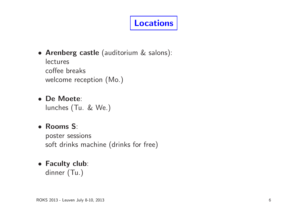# Locations

• Arenberg castle (auditorium & salons):

lectures coffee breaks welcome reception (Mo.)

• De Moete:

lunches (Tu. & We.)

### • Rooms S:

poster sessions soft drinks machine (drinks for free)

#### • Faculty club: dinner (Tu.)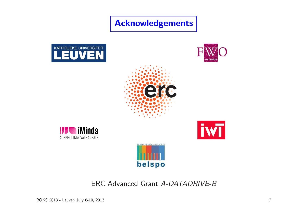Acknowledgements













ERC Advanced Grant A-DATADRIVE-B